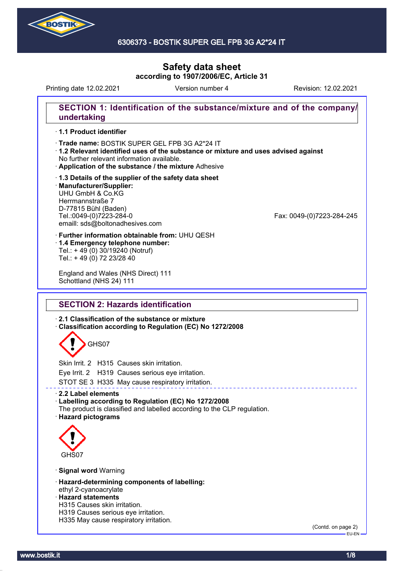

#### 6306373 - BOSTIK SUPER GEL FPB 3G A2\*24 IT

# **Safety data sheet according to 1907/2006/EC, Article 31**

Printing date 12.02.2021 **Revision: 12.02.2021** Version number 4 Revision: 12.02.2021

# **SECTION 1: Identification of the substance/mixture and of the company/ undertaking**

#### · **1.1 Product identifier**

· Trade name: BOSTIK SUPER GEL FPB 3G A2\*24 IT

- · **1.2 Relevant identified uses of the substance or mixture and uses advised against** No further relevant information available.
- · **Application of the substance / the mixture** Adhesive
- · **1.3 Details of the supplier of the safety data sheet** · **Manufacturer/Supplier:** UHU GmbH & Co.KG Herrmannstraße 7 D-77815 Bühl (Baden)<br>Tel.:0049-(0)7223-284-0 emaill: sds@boltonadhesives.com

Fax: 0049-(0)7223-284-245

- · **Further information obtainable from:** UHU QESH · **1.4 Emergency telephone number:**
- Tel.: + 49 (0) 30/19240 (Notruf) Tel.: + 49 (0) 72 23/28 40

England and Wales (NHS Direct) 111 Schottland (NHS 24) 111

## **SECTION 2: Hazards identification**

· **2.1 Classification of the substance or mixture**

· **Classification according to Regulation (EC) No 1272/2008**

# GHS07

Skin Irrit. 2 H315 Causes skin irritation.

Eye Irrit. 2 H319 Causes serious eye irritation.

STOT SE 3 H335 May cause respiratory irritation.

#### · **2.2 Label elements**

#### · **Labelling according to Regulation (EC) No 1272/2008**

The product is classified and labelled according to the CLP regulation. · **Hazard pictograms**



#### · **Signal word** Warning

- · **Hazard-determining components of labelling:** ethyl 2-cyanoacrylate
- · **Hazard statements**
- H315 Causes skin irritation.
- H319 Causes serious eye irritation.
- H335 May cause respiratory irritation.

(Contd. on page 2) EU-EN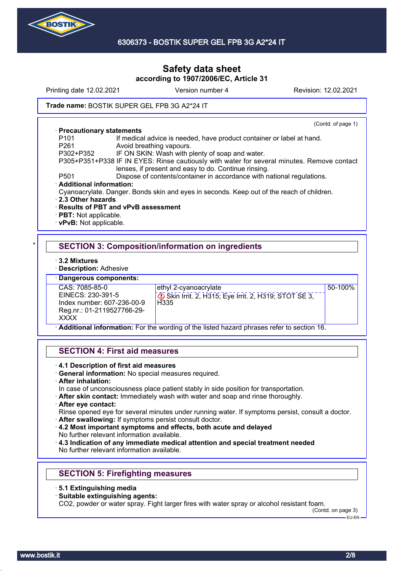

Printing date 12.02.2021 **Version number 4** Revision: 12.02.2021 Trade name: BOSTIK SUPER GEL FPB 3G A2\*24 IT (Contd. of page 1) · **Precautionary statements** P101 If medical advice is needed, have product container or label at hand.<br>P261 Mooid breathing vapours

- Avoid breathing vapours.
- P302+P352 IF ON SKIN: Wash with plenty of soap and water.
- P305+P351+P338 IF IN EYES: Rinse cautiously with water for several minutes. Remove contact lenses, if present and easy to do. Continue rinsing.
- P501 Dispose of contents/container in accordance with national regulations.
- · **Additional information:**
- Cyanoacrylate. Danger. Bonds skin and eyes in seconds. Keep out of the reach of children.
- · **2.3 Other hazards**
- · **Results of PBT and vPvB assessment**
- · **PBT:** Not applicable.
- · **vPvB:** Not applicable.

# **SECTION 3: Composition/information on ingredients**

· **3.2 Mixtures**

· **Description:** Adhesive

· **Dangerous components:**

CAS: 7085-85-0 EINECS: 230-391-5 Index number: 607-236-00-9 Reg.nr.: 01-2119527766-29- **XXXX** 

ethyl 2-cyanoacrylate

 Skin Irrit. 2, H315; Eye Irrit. 2, H319; STOT SE 3, H<sub>335</sub>

50-100%

· **Additional information:** For the wording of the listed hazard phrases refer to section 16.

#### **SECTION 4: First aid measures**

- · **4.1 Description of first aid measures**
- · **General information:** No special measures required.
- · **After inhalation:**

In case of unconsciousness place patient stably in side position for transportation.

· **After skin contact:** Immediately wash with water and soap and rinse thoroughly.

#### · **After eye contact:**

Rinse opened eye for several minutes under running water. If symptoms persist, consult a doctor.

- · **After swallowing:** If symptoms persist consult doctor.
- · **4.2 Most important symptoms and effects, both acute and delayed** No further relevant information available.

· **4.3 Indication of any immediate medical attention and special treatment needed** No further relevant information available.

## **SECTION 5: Firefighting measures**

- · **5.1 Extinguishing media**
- · **Suitable extinguishing agents:**

CO2, powder or water spray. Fight larger fires with water spray or alcohol resistant foam.

(Contd. on page 3) EU-EN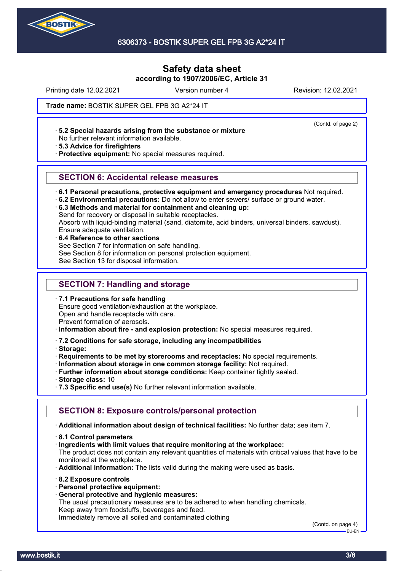

Printing date 12.02.2021 **Version number 4** Revision: 12.02.2021

(Contd. of page 2)

Trade name: BOSTIK SUPER GEL FPB 3G A2\*24 IT

· **5.2 Special hazards arising from the substance or mixture**

No further relevant information available.

· **5.3 Advice for firefighters**

· **Protective equipment:** No special measures required.

#### **SECTION 6: Accidental release measures**

· **6.1 Personal precautions, protective equipment and emergency procedures** Not required.

· **6.2 Environmental precautions:** Do not allow to enter sewers/ surface or ground water.

· **6.3 Methods and material for containment and cleaning up:**

Send for recovery or disposal in suitable receptacles.

Absorb with liquid-binding material (sand, diatomite, acid binders, universal binders, sawdust). Ensure adequate ventilation.

· **6.4 Reference to other sections** See Section 7 for information on safe handling. See Section 8 for information on personal protection equipment. See Section 13 for disposal information.

# **SECTION 7: Handling and storage**

· **7.1 Precautions for safe handling**

Ensure good ventilation/exhaustion at the workplace. Open and handle receptacle with care.

Prevent formation of aerosols.

· **Information about fire - and explosion protection:** No special measures required.

#### · **7.2 Conditions for safe storage, including any incompatibilities**

· **Storage:**

· **Requirements to be met by storerooms and receptacles:** No special requirements.

· **Information about storage in one common storage facility:** Not required.

· **Further information about storage conditions:** Keep container tightly sealed.

- · **Storage class:** 10
- · **7.3 Specific end use(s)** No further relevant information available.

#### **SECTION 8: Exposure controls/personal protection**

· **Additional information about design of technical facilities:** No further data; see item 7.

- · **8.1 Control parameters**
- · **Ingredients with limit values that require monitoring at the workplace:**

The product does not contain any relevant quantities of materials with critical values that have to be monitored at the workplace.

· **Additional information:** The lists valid during the making were used as basis.

- · **8.2 Exposure controls**
- · **Personal protective equipment:**
- · **General protective and hygienic measures:**

The usual precautionary measures are to be adhered to when handling chemicals. Keep away from foodstuffs, beverages and feed.

Immediately remove all soiled and contaminated clothing

(Contd. on page 4) EU-EN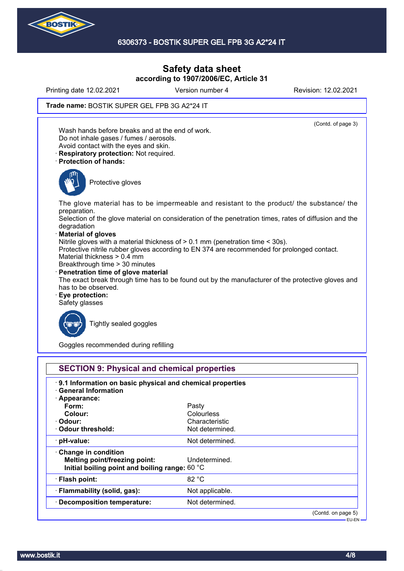

Printing date 12.02.2021 **Version number 4** Revision: 12.02.2021

#### Trade name: BOSTIK SUPER GEL FPB 3G A2\*24 IT

(Contd. of page 3) Wash hands before breaks and at the end of work. Do not inhale gases / fumes / aerosols. Avoid contact with the eyes and skin. · **Respiratory protection:** Not required. · **Protection of hands:** Protective gloves The glove material has to be impermeable and resistant to the product/ the substance/ the preparation. Selection of the glove material on consideration of the penetration times, rates of diffusion and the degradation · **Material of gloves** Nitrile gloves with a material thickness of > 0.1 mm (penetration time < 30s). Protective nitrile rubber gloves according to EN 374 are recommended for prolonged contact. Material thickness > 0.4 mm Breakthrough time > 30 minutes · **Penetration time of glove material** The exact break through time has to be found out by the manufacturer of the protective gloves and has to be observed. · **Eye protection:** Safety glasses Tightly sealed goggles

Goggles recommended during refilling

| .9.1 Information on basic physical and chemical properties |                 |  |
|------------------------------------------------------------|-----------------|--|
| <b>General Information</b>                                 |                 |  |
| · Appearance:                                              |                 |  |
| Form:                                                      | Pasty           |  |
| Colour:                                                    | Colourless      |  |
| · Odour:                                                   | Characteristic  |  |
| Odour threshold:                                           | Not determined. |  |
| $\cdot$ pH-value:                                          | Not determined. |  |
| $\cdot$ Change in condition                                |                 |  |
| Melting point/freezing point:                              | Undetermined.   |  |
| Initial boiling point and boiling range: 60 °C             |                 |  |
| · Flash point:                                             | 82 °C           |  |
| · Flammability (solid, gas):                               | Not applicable. |  |
| · Decomposition temperature:                               | Not determined. |  |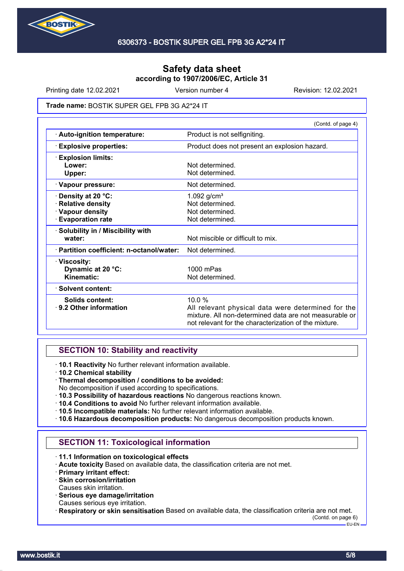

Printing date 12.02.2021 **Version number 4** Revision: 12.02.2021

#### Trade name: BOSTIK SUPER GEL FPB 3G A2\*24 IT

|                                           | (Contd. of page 4)                                                                                                                                                    |  |
|-------------------------------------------|-----------------------------------------------------------------------------------------------------------------------------------------------------------------------|--|
| · Auto-ignition temperature:              | Product is not selfigniting.                                                                                                                                          |  |
| <b>Explosive properties:</b>              | Product does not present an explosion hazard.                                                                                                                         |  |
| <b>Explosion limits:</b>                  |                                                                                                                                                                       |  |
| Lower:                                    | Not determined.                                                                                                                                                       |  |
| Upper:                                    | Not determined.                                                                                                                                                       |  |
| · Vapour pressure:                        | Not determined.                                                                                                                                                       |  |
| Density at 20 °C:                         | 1.092 $g/cm^{3}$                                                                                                                                                      |  |
| <b>Relative density</b>                   | Not determined.                                                                                                                                                       |  |
| · Vapour density                          | Not determined.                                                                                                                                                       |  |
| <b>Evaporation rate</b>                   | Not determined.                                                                                                                                                       |  |
| · Solubility in / Miscibility with        |                                                                                                                                                                       |  |
| water:                                    | Not miscible or difficult to mix.                                                                                                                                     |  |
| · Partition coefficient: n-octanol/water: | Not determined.                                                                                                                                                       |  |
| · Viscosity:                              |                                                                                                                                                                       |  |
| Dynamic at 20 °C:                         | $1000$ mPas                                                                                                                                                           |  |
| Kinematic:                                | Not determined.                                                                                                                                                       |  |
| · Solvent content:                        |                                                                                                                                                                       |  |
| Solids content:                           | 10.0%                                                                                                                                                                 |  |
| ⋅ 9.2 Other information                   | All relevant physical data were determined for the<br>mixture. All non-determined data are not measurable or<br>not relevant for the characterization of the mixture. |  |
|                                           |                                                                                                                                                                       |  |

## **SECTION 10: Stability and reactivity**

· **10.1 Reactivity** No further relevant information available.

- · **10.2 Chemical stability**
- · **Thermal decomposition / conditions to be avoided:**
- No decomposition if used according to specifications.
- · **10.3 Possibility of hazardous reactions** No dangerous reactions known.
- · **10.4 Conditions to avoid** No further relevant information available.
- · **10.5 Incompatible materials:** No further relevant information available.
- · **10.6 Hazardous decomposition products:** No dangerous decomposition products known.

## **SECTION 11: Toxicological information**

- · **11.1 Information on toxicological effects**
- · **Acute toxicity** Based on available data, the classification criteria are not met.
- · **Primary irritant effect:**
- · **Skin corrosion/irritation**
- Causes skin irritation.
- · **Serious eye damage/irritation**
- Causes serious eye irritation.
- · **Respiratory or skin sensitisation** Based on available data, the classification criteria are not met.

(Contd. on page 6)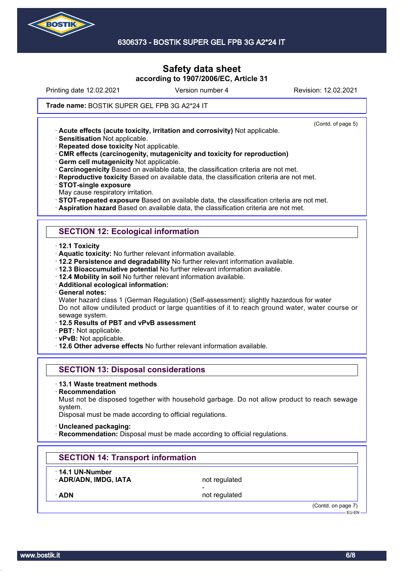

Printing date 12.02.2021 **Version number 4** Revision: 12.02.2021

(Contd. of page 5)

#### Trade name: BOSTIK SUPER GEL FPB 3G A2\*24 IT

· **Acute effects (acute toxicity, irritation and corrosivity)** Not applicable.

· **Sensitisation** Not applicable.

· **Repeated dose toxicity** Not applicable.

· **CMR effects (carcinogenity, mutagenicity and toxicity for reproduction)**

· **Germ cell mutagenicity** Not applicable.

· **Carcinogenicity** Based on available data, the classification criteria are not met.

· **Reproductive toxicity** Based on available data, the classification criteria are not met.

· **STOT-single exposure**

May cause respiratory irritation.

· **STOT-repeated exposure** Based on available data, the classification criteria are not met.

· **Aspiration hazard** Based on available data, the classification criteria are not met.

### **SECTION 12: Ecological information**

· **12.1 Toxicity**

· **Aquatic toxicity:** No further relevant information available.

· **12.2 Persistence and degradability** No further relevant information available.

· **12.3 Bioaccumulative potential** No further relevant information available.

· **12.4 Mobility in soil** No further relevant information available.

· **Additional ecological information:**

· **General notes:**

Water hazard class 1 (German Regulation) (Self-assessment): slightly hazardous for water Do not allow undiluted product or large quantities of it to reach ground water, water course or sewage system.

· **12.5 Results of PBT and vPvB assessment**

· **PBT:** Not applicable.

· **vPvB:** Not applicable.

· **12.6 Other adverse effects** No further relevant information available.

### **SECTION 13: Disposal considerations**

· **13.1 Waste treatment methods**

· **Recommendation**

Must not be disposed together with household garbage. Do not allow product to reach sewage system.

Disposal must be made according to official regulations.

- · **Uncleaned packaging:**
- **Recommendation:** Disposal must be made according to official regulations.

#### **SECTION 14: Transport information**

· **14.1 UN-Number**

**ADR/ADN, IMDG, IATA** not regulated -

ADN **ADN** not regulated

(Contd. on page 7) EU-EN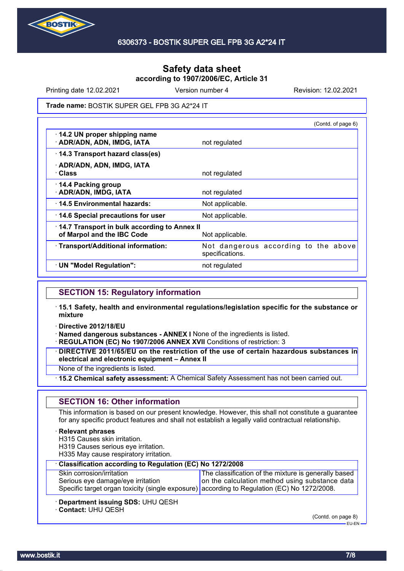

Printing date 12.02.2021 **Version number 4** Revision: 12.02.2021

Trade name: BOSTIK SUPER GEL FPB 3G A2\*24 IT

|                                                                            | (Contd. of page 6)                                      |
|----------------------------------------------------------------------------|---------------------------------------------------------|
| 14.2 UN proper shipping name<br>· ADR/ADN, ADN, IMDG, IATA                 | not regulated                                           |
| 14.3 Transport hazard class(es)                                            |                                                         |
| · ADR/ADN, ADN, IMDG, IATA<br>· Class                                      | not regulated                                           |
| 14.4 Packing group<br>· ADR/ADN, IMDG, IATA                                | not regulated                                           |
| 14.5 Environmental hazards:                                                | Not applicable.                                         |
| 14.6 Special precautions for user                                          | Not applicable.                                         |
| 14.7 Transport in bulk according to Annex II<br>of Marpol and the IBC Code | Not applicable.                                         |
| · Transport/Additional information:                                        | Not dangerous according to the above<br>specifications. |
| · UN "Model Regulation":                                                   | not regulated                                           |

## **SECTION 15: Regulatory information**

- · **15.1 Safety, health and environmental regulations/legislation specific for the substance or mixture**
- · **Directive 2012/18/EU**

· **Named dangerous substances - ANNEX I** None of the ingredients is listed.

· **REGULATION (EC) No 1907/2006 ANNEX XVII** Conditions of restriction: 3

· **DIRECTIVE 2011/65/EU on the restriction of the use of certain hazardous substances in electrical and electronic equipment – Annex II**

None of the ingredients is listed.

· **15.2 Chemical safety assessment:** A Chemical Safety Assessment has not been carried out.

## **SECTION 16: Other information**

This information is based on our present knowledge. However, this shall not constitute a guarantee for any specific product features and shall not establish a legally valid contractual relationship.

#### · **Relevant phrases**

H315 Causes skin irritation.

- H319 Causes serious eye irritation.
- H335 May cause respiratory irritation.

| Classification according to Regulation (EC) No 1272/2008                                    |                                                      |  |
|---------------------------------------------------------------------------------------------|------------------------------------------------------|--|
| Skin corrosion/irritation                                                                   | The classification of the mixture is generally based |  |
| Serious eye damage/eye irritation                                                           | on the calculation method using substance data       |  |
| Specific target organ toxicity (single exposure) according to Regulation (EC) No 1272/2008. |                                                      |  |
|                                                                                             |                                                      |  |

- · **Department issuing SDS:** UHU QESH
- · **Contact:** UHU QESH

(Contd. on page 8)

EU-EN